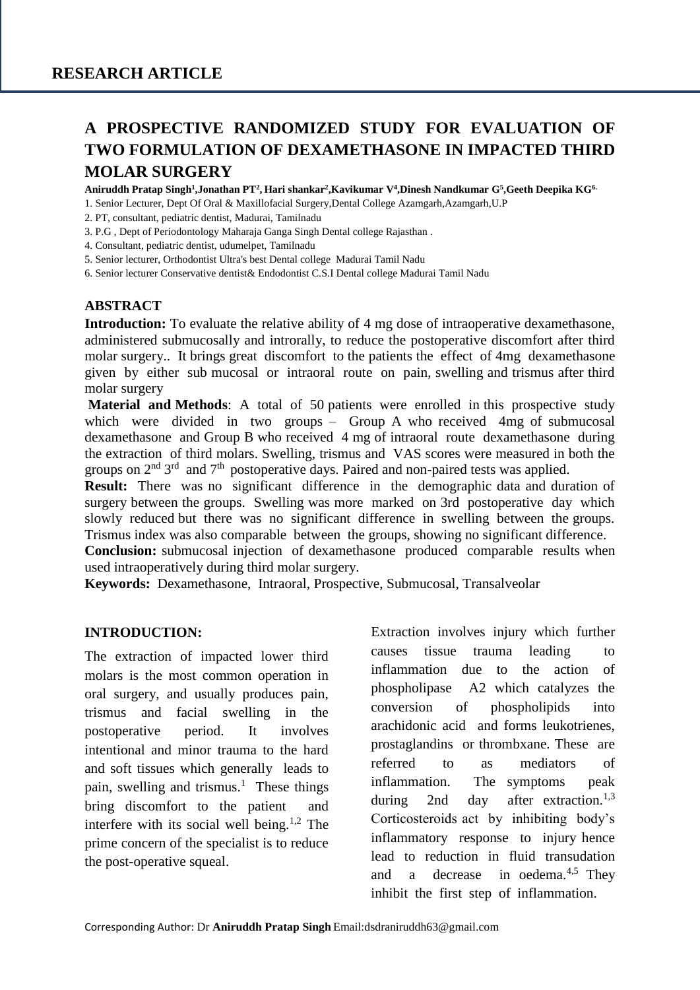# **A PROSPECTIVE RANDOMIZED STUDY FOR EVALUATION OF TWO FORMULATION OF DEXAMETHASONE IN IMPACTED THIRD MOLAR SURGERY**

**Aniruddh Pratap Singh<sup>1</sup> ,Jonathan PT<sup>2</sup> , Hari shankar<sup>2</sup> ,Kavikumar V<sup>4</sup> ,Dinesh Nandkumar G<sup>5</sup> ,Geeth Deepika KG6.**

1. Senior Lecturer, Dept Of Oral & Maxillofacial Surgery,Dental College Azamgarh,Azamgarh,U.P

- 2. PT, consultant, pediatric dentist, Madurai, Tamilnadu
- 3. P.G , Dept of Periodontology Maharaja Ganga Singh Dental college Rajasthan .
- 4. Consultant, pediatric dentist, udumelpet, Tamilnadu
- 5. Senior lecturer, Orthodontist Ultra's best Dental college Madurai Tamil Nadu
- 6. Senior lecturer Conservative dentist& Endodontist C.S.I Dental college Madurai Tamil Nadu

## **ABSTRACT**

**Introduction:** To evaluate the relative ability of 4 mg dose of intraoperative dexamethasone, administered submucosally and introrally, to reduce the postoperative discomfort after third molar surgery.. It brings great discomfort to the patients the effect of 4mg dexamethasone given by either sub mucosal or intraoral route on pain, swelling and trismus after third molar surgery

**Material and Methods:** A total of 50 patients were enrolled in this prospective study which were divided in two groups – Group A who received 4mg of submucosal dexamethasone and Group B who received 4 mg of intraoral route dexamethasone during the extraction of third molars. Swelling, trismus and VAS scores were measured in both the groups on  $2<sup>nd</sup>$  3<sup>rd</sup> and  $7<sup>th</sup>$  postoperative days. Paired and non-paired tests was applied.

**Result:** There was no significant difference in the demographic data and duration of surgery between the groups. Swelling was more marked on 3rd postoperative day which slowly reduced but there was no significant difference in swelling between the groups. Trismus index was also comparable between the groups, showing no significant difference.

**Conclusion:** submucosal injection of dexamethasone produced comparable results when used intraoperatively during third molar surgery.

**Keywords:** Dexamethasone, Intraoral, Prospective, Submucosal, Transalveolar

#### **INTRODUCTION:**

The extraction of impacted lower third molars is the most common operation in oral surgery, and usually produces pain, trismus and facial swelling in the postoperative period. It involves intentional and minor trauma to the hard and soft tissues which generally leads to pain, swelling and trismus.<sup>1</sup> These things bring discomfort to the patient and interfere with its social well being.<sup>1,2</sup> The prime concern of the specialist is to reduce the post-operative squeal.

Extraction involves injury which further causes tissue trauma leading to inflammation due to the action of phospholipase A2 which catalyzes the conversion of phospholipids into arachidonic acid and forms leukotrienes, prostaglandins or thrombxane. These are referred to as mediators of inflammation. The symptoms peak during 2nd day after extraction.<sup>1,3</sup> Corticosteroids act by inhibiting body's inflammatory response to injury hence lead to reduction in fluid transudation and a decrease in oedema.<sup>4,5</sup> They inhibit the first step of inflammation.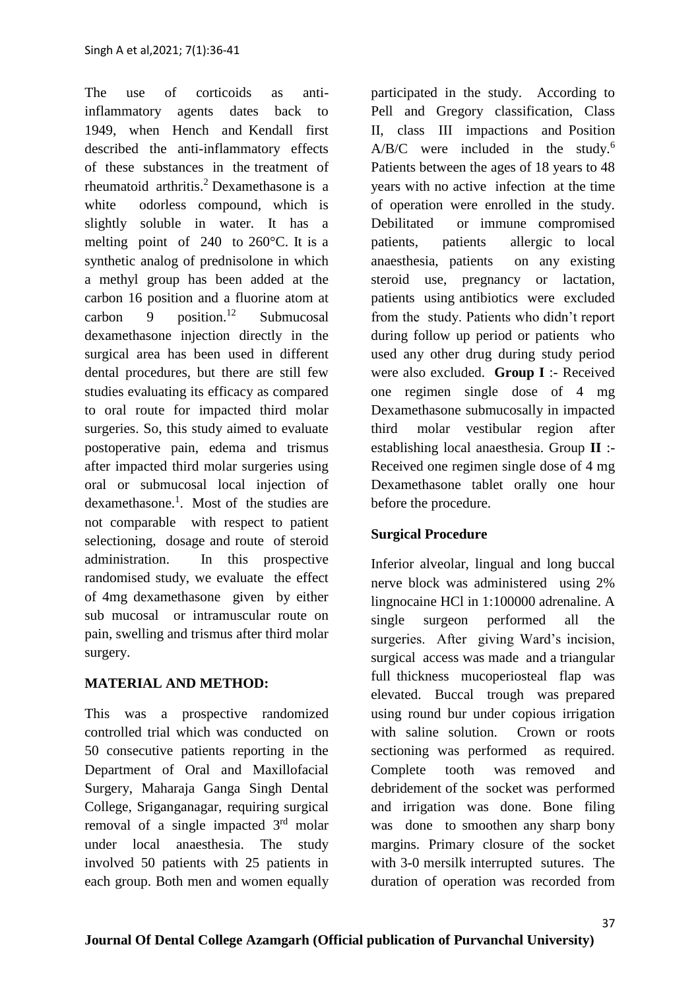The use of corticoids as antiinflammatory agents dates back to 1949, when Hench and Kendall first described the anti-inflammatory effects of these substances in the treatment of rheumatoid arthritis.<sup>2</sup> Dexamethasone is a white odorless compound, which is slightly soluble in water. It has a melting point of 240 to 260°C. It is a synthetic analog of prednisolone in which a methyl group has been added at the carbon 16 position and a fluorine atom at carbon 9 position.<sup>12</sup> Submucosal dexamethasone injection directly in the surgical area has been used in different dental procedures, but there are still few studies evaluating its efficacy as compared to oral route for impacted third molar surgeries. So, this study aimed to evaluate postoperative pain, edema and trismus after impacted third molar surgeries using oral or submucosal local injection of dexamethasone.<sup>1</sup>. Most of the studies are not comparable with respect to patient selectioning, dosage and route of steroid administration. In this prospective randomised study, we evaluate the effect of 4mg dexamethasone given by either sub mucosal or intramuscular route on pain, swelling and trismus after third molar surgery.

## **MATERIAL AND METHOD:**

This was a prospective randomized controlled trial which was conducted on 50 consecutive patients reporting in the Department of Oral and Maxillofacial Surgery, Maharaja Ganga Singh Dental College, Sriganganagar, requiring surgical removal of a single impacted  $3<sup>rd</sup>$  molar under local anaesthesia. The study involved 50 patients with 25 patients in each group. Both men and women equally participated in the study. According to Pell and Gregory classification, Class II, class III impactions and Position  $A/B/C$  were included in the study.<sup>6</sup> Patients between the ages of 18 years to 48 years with no active infection at the time of operation were enrolled in the study. Debilitated or immune compromised patients, patients allergic to local anaesthesia, patients on any existing steroid use, pregnancy or lactation, patients using antibiotics were excluded from the study. Patients who didn't report during follow up period or patients who used any other drug during study period were also excluded. **Group I** :- Received one regimen single dose of 4 mg Dexamethasone submucosally in impacted third molar vestibular region after establishing local anaesthesia. Group **II** :- Received one regimen single dose of 4 mg Dexamethasone tablet orally one hour before the procedure.

# **Surgical Procedure**

Inferior alveolar, lingual and long buccal nerve block was administered using 2% lingnocaine HCl in 1:100000 adrenaline. A single surgeon performed all the surgeries. After giving Ward's incision, surgical access was made and a triangular full thickness mucoperiosteal flap was elevated. Buccal trough was prepared using round bur under copious irrigation with saline solution. Crown or roots sectioning was performed as required. Complete tooth was removed and debridement of the socket was performed and irrigation was done. Bone filing was done to smoothen any sharp bony margins. Primary closure of the socket with 3-0 mersilk interrupted sutures. The duration of operation was recorded from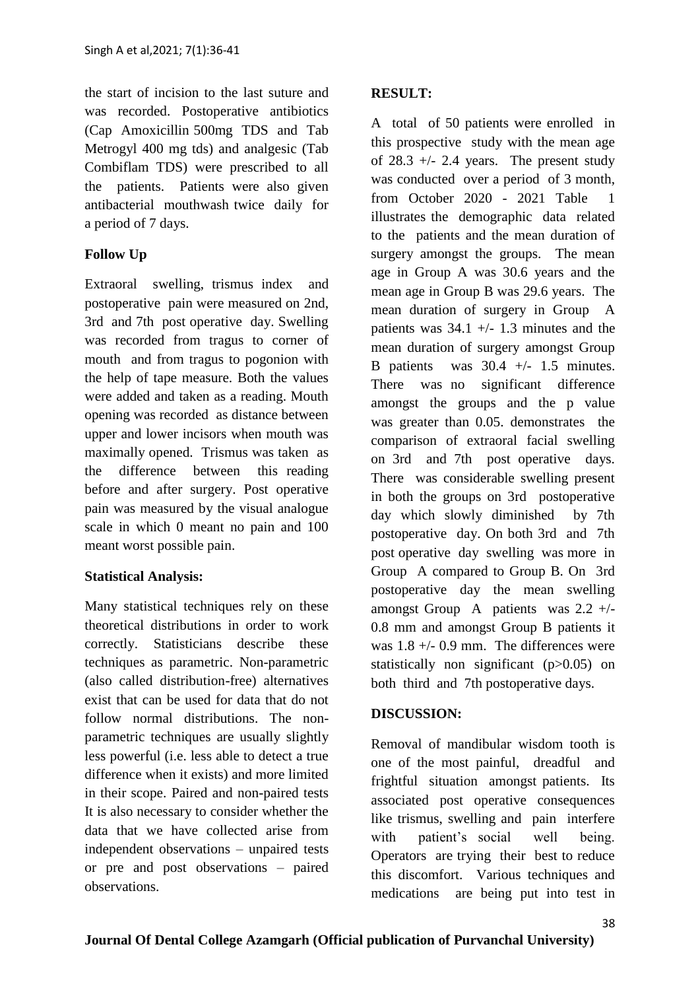the start of incision to the last suture and was recorded. Postoperative antibiotics (Cap Amoxicillin 500mg TDS and Tab Metrogyl 400 mg tds) and analgesic (Tab Combiflam TDS) were prescribed to all the patients. Patients were also given antibacterial mouthwash twice daily for a period of 7 days.

## **Follow Up**

Extraoral swelling, trismus index and postoperative pain were measured on 2nd, 3rd and 7th post operative day. Swelling was recorded from tragus to corner of mouth and from tragus to pogonion with the help of tape measure. Both the values were added and taken as a reading. Mouth opening was recorded as distance between upper and lower incisors when mouth was maximally opened. Trismus was taken as the difference between this reading before and after surgery. Post operative pain was measured by the visual analogue scale in which 0 meant no pain and 100 meant worst possible pain.

## **Statistical Analysis:**

Many statistical techniques rely on these theoretical distributions in order to work correctly. Statisticians describe these techniques as parametric. Non-parametric (also called distribution-free) alternatives exist that can be used for data that do not follow normal distributions. The nonparametric techniques are usually slightly less powerful (i.e. less able to detect a true difference when it exists) and more limited in their scope. Paired and non-paired tests It is also necessary to consider whether the data that we have collected arise from independent observations – unpaired tests or pre and post observations – paired observations.

## **RESULT:**

A total of 50 patients were enrolled in this prospective study with the mean age of  $28.3 +/- 2.4$  years. The present study was conducted over a period of 3 month, from October 2020 - 2021 Table 1 illustrates the demographic data related to the patients and the mean duration of surgery amongst the groups. The mean age in Group A was 30.6 years and the mean age in Group B was 29.6 years. The mean duration of surgery in Group A patients was  $34.1 +/- 1.3$  minutes and the mean duration of surgery amongst Group B patients was  $30.4$  +/- 1.5 minutes. There was no significant difference amongst the groups and the p value was greater than 0.05. demonstrates the comparison of extraoral facial swelling on 3rd and 7th post operative days. There was considerable swelling present in both the groups on 3rd postoperative day which slowly diminished by 7th postoperative day. On both 3rd and 7th post operative day swelling was more in Group A compared to Group B. On 3rd postoperative day the mean swelling amongst Group A patients was 2.2 +/- 0.8 mm and amongst Group B patients it was  $1.8 +/- 0.9$  mm. The differences were statistically non significant (p>0.05) on both third and 7th postoperative days.

#### **DISCUSSION:**

Removal of mandibular wisdom tooth is one of the most painful, dreadful and frightful situation amongst patients. Its associated post operative consequences like trismus, swelling and pain interfere with patient's social well being. Operators are trying their best to reduce this discomfort. Various techniques and medications are being put into test in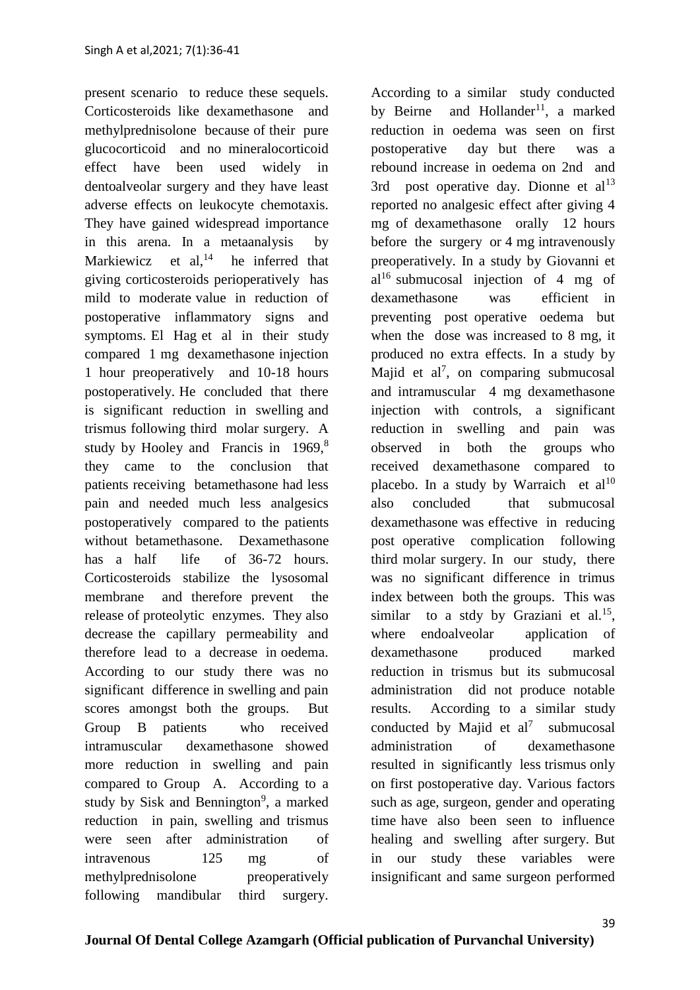present scenario to reduce these sequels. Corticosteroids like dexamethasone and methylprednisolone because of their pure glucocorticoid and no mineralocorticoid effect have been used widely in dentoalveolar surgery and they have least adverse effects on leukocyte chemotaxis. They have gained widespread importance in this arena. In a metaanalysis by Markiewicz et  $al^{14}$ , he inferred that giving corticosteroids perioperatively has mild to moderate value in reduction of postoperative inflammatory signs and symptoms. El Hag et al in their study compared 1 mg dexamethasone injection 1 hour preoperatively and 10-18 hours postoperatively. He concluded that there is significant reduction in swelling and trismus following third molar surgery. A study by Hooley and Francis in 1969,<sup>8</sup> they came to the conclusion that patients receiving betamethasone had less pain and needed much less analgesics postoperatively compared to the patients without betamethasone. Dexamethasone has a half life of 36-72 hours. Corticosteroids stabilize the lysosomal membrane and therefore prevent the release of proteolytic enzymes. They also decrease the capillary permeability and therefore lead to a decrease in oedema. According to our study there was no significant difference in swelling and pain scores amongst both the groups. But Group B patients who received intramuscular dexamethasone showed more reduction in swelling and pain compared to Group A. According to a study by Sisk and Bennington<sup>9</sup>, a marked reduction in pain, swelling and trismus were seen after administration of intravenous 125 mg of methylprednisolone preoperatively following mandibular third surgery.

According to a similar study conducted by Beirne and Hollander<sup>11</sup>, a marked reduction in oedema was seen on first postoperative day but there was a rebound increase in oedema on 2nd and 3rd post operative day. Dionne et  $al<sup>13</sup>$ reported no analgesic effect after giving 4 mg of dexamethasone orally 12 hours before the surgery or 4 mg intravenously preoperatively. In a study by Giovanni et al<sup>16</sup> submucosal injection of 4 mg of dexamethasone was efficient in preventing post operative oedema but when the dose was increased to 8 mg, it produced no extra effects. In a study by Majid et al<sup>7</sup>, on comparing submucosal and intramuscular 4 mg dexamethasone injection with controls, a significant reduction in swelling and pain was observed in both the groups who received dexamethasone compared to placebo. In a study by Warraich et  $al^{10}$ also concluded that submucosal dexamethasone was effective in reducing post operative complication following third molar surgery. In our study, there was no significant difference in trimus index between both the groups. This was similar to a stdy by Graziani et al.<sup>15</sup>, where endoalveolar application of dexamethasone produced marked reduction in trismus but its submucosal administration did not produce notable results. According to a similar study conducted by Majid et  $al^7$  submucosal administration of dexamethasone resulted in significantly less trismus only on first postoperative day. Various factors such as age, surgeon, gender and operating time have also been seen to influence healing and swelling after surgery. But in our study these variables were insignificant and same surgeon performed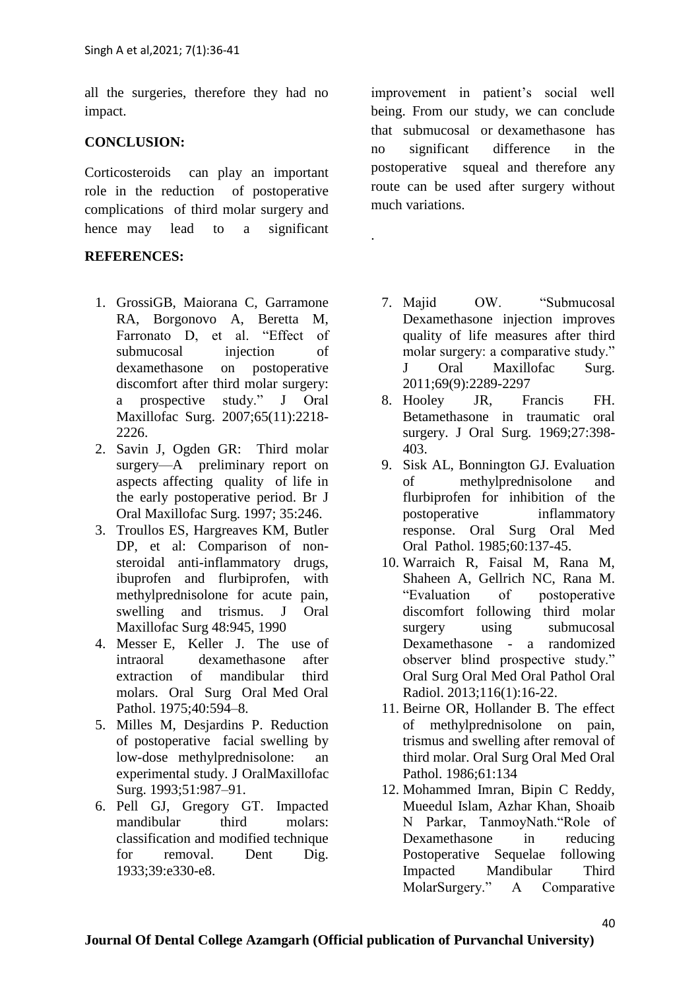all the surgeries, therefore they had no impact.

#### **CONCLUSION:**

Corticosteroids can play an important role in the reduction of postoperative complications of third molar surgery and hence may lead to a significant

#### **REFERENCES:**

- 1. GrossiGB, Maiorana C, Garramone RA, Borgonovo A, Beretta M, Farronato D, et al. "Effect of submucosal injection of dexamethasone on postoperative discomfort after third molar surgery: a prospective study." J Oral Maxillofac Surg. 2007;65(11):2218- 2226.
- 2. Savin J, Ogden GR: Third molar surgery—A preliminary report on aspects affecting quality of life in the early postoperative period. Br J Oral Maxillofac Surg. 1997; 35:246.
- 3. Troullos ES, Hargreaves KM, Butler DP, et al: Comparison of nonsteroidal anti-inflammatory drugs, ibuprofen and flurbiprofen, with methylprednisolone for acute pain, swelling and trismus. J Oral Maxillofac Surg 48:945, 1990
- 4. Messer E, Keller J. The use of intraoral dexamethasone after extraction of mandibular third molars. Oral Surg Oral Med Oral Pathol. 1975;40:594–8.
- 5. Milles M, Desjardins P. Reduction of postoperative facial swelling by low-dose methylprednisolone: an experimental study. J OralMaxillofac Surg. 1993;51:987–91.
- 6. Pell GJ, Gregory GT. Impacted mandibular third molars: classification and modified technique for removal. Dent Dig. 1933;39:e330-e8.

improvement in patient's social well being. From our study, we can conclude that submucosal or dexamethasone has no significant difference in the postoperative squeal and therefore any route can be used after surgery without much variations.

.

- 7. Majid OW. "Submucosal Dexamethasone injection improves quality of life measures after third molar surgery: a comparative study." J Oral Maxillofac Surg. 2011;69(9):2289-2297
- 8. Hooley JR, Francis FH. Betamethasone in traumatic oral surgery. J Oral Surg. 1969;27:398- 403.
- 9. Sisk AL, Bonnington GJ. Evaluation of methylprednisolone and flurbiprofen for inhibition of the postoperative inflammatory response. Oral Surg Oral Med Oral Pathol. 1985;60:137-45.
- 10. Warraich R, Faisal M, Rana M, Shaheen A, Gellrich NC, Rana M. "Evaluation of postoperative discomfort following third molar surgery using submucosal Dexamethasone - a randomized observer blind prospective study." Oral Surg Oral Med Oral Pathol Oral Radiol. 2013;116(1):16-22.
- 11. Beirne OR, Hollander B. The effect of methylprednisolone on pain, trismus and swelling after removal of third molar. Oral Surg Oral Med Oral Pathol. 1986;61:134
- 12. Mohammed Imran, Bipin C Reddy, Mueedul Islam, Azhar Khan, Shoaib N Parkar, TanmoyNath."Role of Dexamethasone in reducing Postoperative Sequelae following Impacted Mandibular Third MolarSurgery." A Comparative